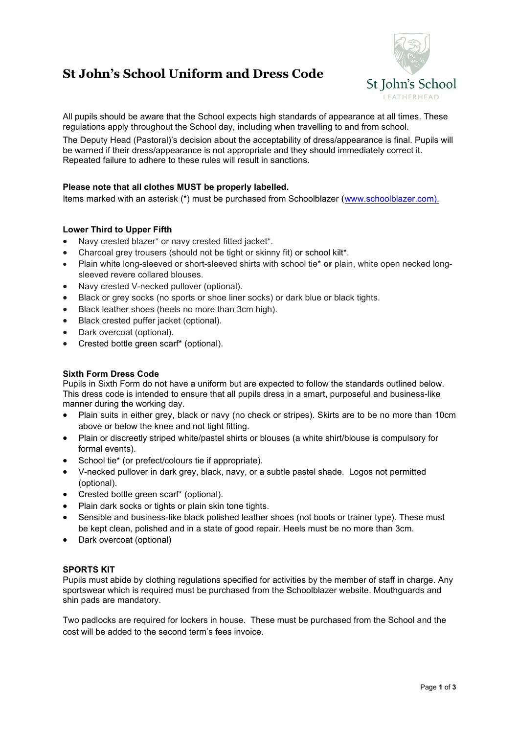# **St John's School Uniform and Dress Code**



All pupils should be aware that the School expects high standards of appearance at all times. These regulations apply throughout the School day, including when travelling to and from school.

The Deputy Head (Pastoral)'s decision about the acceptability of dress/appearance is final. Pupils will be warned if their dress/appearance is not appropriate and they should immediately correct it. Repeated failure to adhere to these rules will result in sanctions.

## **Please note that all clothes MUST be properly labelled.**

Items marked with an asterisk (\*) must be purchased from Schoolblazer ([www.schoolblazer.com\)](http://www.schoolblazer.com/).

## **Lower Third to Upper Fifth**

- Navy crested blazer\* or navy crested fitted jacket\*.
- Charcoal grey trousers (should not be tight or skinny fit) or school kilt\*.
- Plain white long-sleeved or short-sleeved shirts with school tie\* **or** plain, white open necked longsleeved revere collared blouses.
- Navy crested V-necked pullover (optional).
- Black or grey socks (no sports or shoe liner socks) or dark blue or black tights.
- Black leather shoes (heels no more than 3cm high).
- Black crested puffer jacket (optional).
- Dark overcoat (optional).
- Crested bottle green scarf\* (optional).

#### **Sixth Form Dress Code**

Pupils in Sixth Form do not have a uniform but are expected to follow the standards outlined below. This dress code is intended to ensure that all pupils dress in a smart, purposeful and business-like manner during the working day.

- Plain suits in either grey, black or navy (no check or stripes). Skirts are to be no more than 10cm above or below the knee and not tight fitting.
- Plain or discreetly striped white/pastel shirts or blouses (a white shirt/blouse is compulsory for formal events).
- School tie\* (or prefect/colours tie if appropriate).
- V-necked pullover in dark grey, black, navy, or a subtle pastel shade. Logos not permitted (optional).
- Crested bottle green scarf\* (optional).
- Plain dark socks or tights or plain skin tone tights.
- Sensible and business-like black polished leather shoes (not boots or trainer type). These must be kept clean, polished and in a state of good repair. Heels must be no more than 3cm.
- Dark overcoat (optional)

#### **SPORTS KIT**

Pupils must abide by clothing regulations specified for activities by the member of staff in charge. Any sportswear which is required must be purchased from the Schoolblazer website. Mouthguards and shin pads are mandatory.

Two padlocks are required for lockers in house. These must be purchased from the School and the cost will be added to the second term's fees invoice.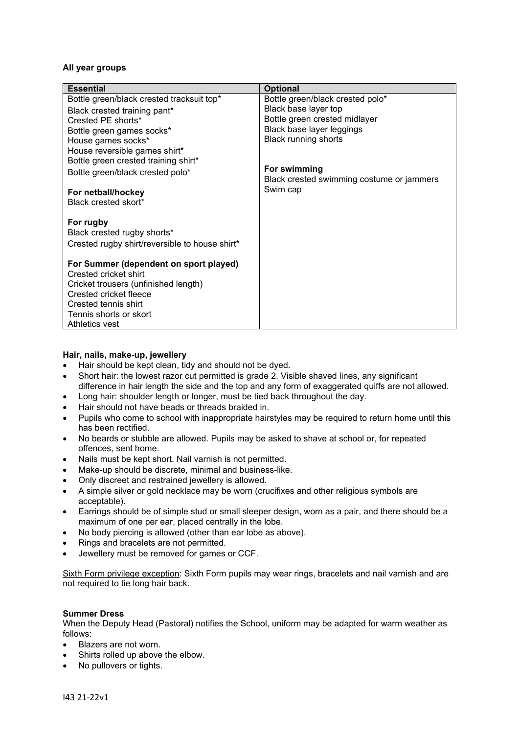## **All year groups**

| <b>Essential</b>                               | <b>Optional</b>                           |
|------------------------------------------------|-------------------------------------------|
| Bottle green/black crested tracksuit top*      | Bottle green/black crested polo*          |
| Black crested training pant*                   | Black base layer top                      |
| Crested PE shorts*                             | Bottle green crested midlayer             |
| Bottle green games socks*                      | Black base layer leggings                 |
| House games socks*                             | <b>Black running shorts</b>               |
| House reversible games shirt*                  |                                           |
| Bottle green crested training shirt*           |                                           |
| Bottle green/black crested polo*               | For swimming                              |
|                                                | Black crested swimming costume or jammers |
| For netball/hockey                             | Swim cap                                  |
| Black crested skort*                           |                                           |
| For rugby                                      |                                           |
| Black crested rugby shorts*                    |                                           |
| Crested rugby shirt/reversible to house shirt* |                                           |
|                                                |                                           |
| For Summer (dependent on sport played)         |                                           |
| Crested cricket shirt                          |                                           |
| Cricket trousers (unfinished length)           |                                           |
| Crested cricket fleece                         |                                           |
| Crested tennis shirt                           |                                           |
| Tennis shorts or skort                         |                                           |
| Athletics vest                                 |                                           |

#### **Hair, nails, make-up, jewellery**

- Hair should be kept clean, tidy and should not be dyed.
- Short hair: the lowest razor cut permitted is grade 2. Visible shaved lines, any significant difference in hair length the side and the top and any form of exaggerated quiffs are not allowed.
- Long hair: shoulder length or longer, must be tied back throughout the day.
- Hair should not have beads or threads braided in.
- Pupils who come to school with inappropriate hairstyles may be required to return home until this has been rectified.
- No beards or stubble are allowed. Pupils may be asked to shave at school or, for repeated offences, sent home.
- Nails must be kept short. Nail varnish is not permitted.
- Make-up should be discrete, minimal and business-like.
- Only discreet and restrained jewellery is allowed.
- A simple silver or gold necklace may be worn (crucifixes and other religious symbols are acceptable).
- Earrings should be of simple stud or small sleeper design, worn as a pair, and there should be a maximum of one per ear, placed centrally in the lobe.
- No body piercing is allowed (other than ear lobe as above).
- Rings and bracelets are not permitted.
- Jewellery must be removed for games or CCF.

Sixth Form privilege exception: Sixth Form pupils may wear rings, bracelets and nail varnish and are not required to tie long hair back.

#### **Summer Dress**

When the Deputy Head (Pastoral) notifies the School, uniform may be adapted for warm weather as follows:

- Blazers are not worn.
- Shirts rolled up above the elbow.
- No pullovers or tights.